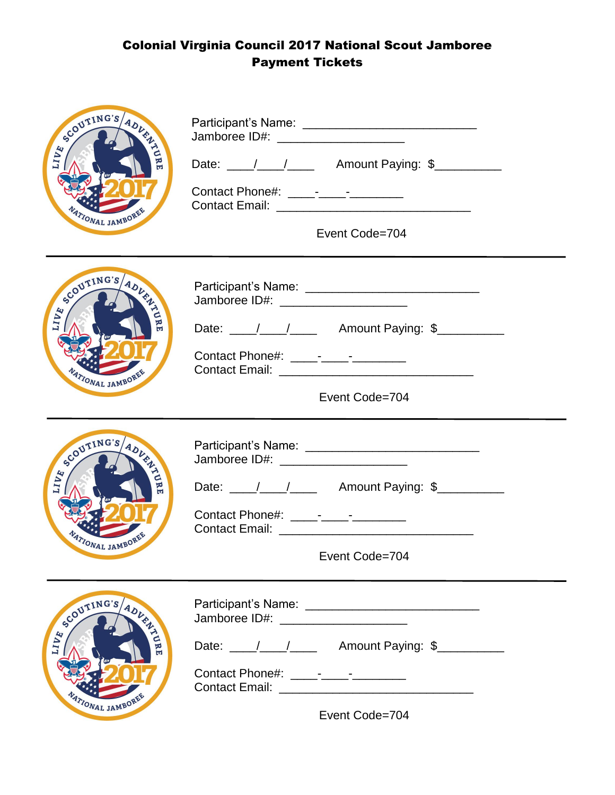## Colonial Virginia Council 2017 National Scout Jamboree Payment Tickets

| SCOUTING'S ADVENT<br><b>TIVE</b><br>TIONAL JAMBOR     | Jamboree ID#: _______________________<br>Event Code=704                                                                   |  |
|-------------------------------------------------------|---------------------------------------------------------------------------------------------------------------------------|--|
| SCOUTING'S ADVANCE<br><b>ZAITT</b><br>ATIONAL JAMBORE | Jamboree ID#: _______________________<br>Date: ///// Amount Paying: \$<br>Event Code=704                                  |  |
| SCOUTING'S ADVANCE<br>$7117$<br>ATIONAL JAMBOR        | Jamboree ID#: _______________________<br>Event Code=704                                                                   |  |
| SCOUTING'S ADVANCE<br><b>TIVE</b><br>ATIONAL JAMBORE  | Jamboree ID#: ________________________<br>Date: \_____/ ____/ __________ Amount Paying: \$_____________<br>Event Code=704 |  |